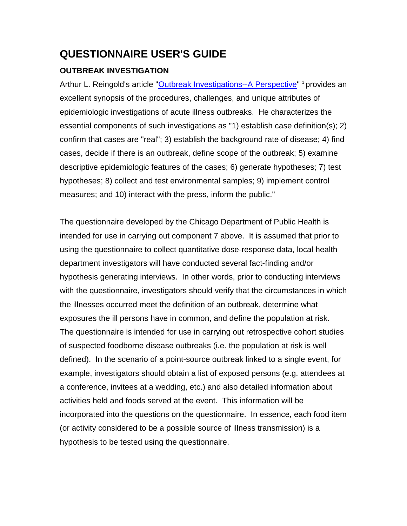# **QUESTIONNAIRE USER'S GUIDE**

## **OUTBREAK INVESTIGATION**

Arthur L. Reingold's article "Outbreak Investigations--A Perspective" 1 provides an excellent synopsis of the procedures, challenges, and unique attributes of epidemiologic investigations of acute illness outbreaks. He characterizes the essential components of such investigations as "1) establish case definition(s); 2) confirm that cases are "real"; 3) establish the background rate of disease; 4) find cases, decide if there is an outbreak, define scope of the outbreak; 5) examine descriptive epidemiologic features of the cases; 6) generate hypotheses; 7) test hypotheses; 8) collect and test environmental samples; 9) implement control measures; and 10) interact with the press, inform the public."

The questionnaire developed by the Chicago Department of Public Health is intended for use in carrying out component 7 above. It is assumed that prior to using the questionnaire to collect quantitative dose-response data, local health department investigators will have conducted several fact-finding and/or hypothesis generating interviews. In other words, prior to conducting interviews with the questionnaire, investigators should verify that the circumstances in which the illnesses occurred meet the definition of an outbreak, determine what exposures the ill persons have in common, and define the population at risk. The questionnaire is intended for use in carrying out retrospective cohort studies of suspected foodborne disease outbreaks (i.e. the population at risk is well defined). In the scenario of a point-source outbreak linked to a single event, for example, investigators should obtain a list of exposed persons (e.g. attendees at a conference, invitees at a wedding, etc.) and also detailed information about activities held and foods served at the event. This information will be incorporated into the questions on the questionnaire. In essence, each food item (or activity considered to be a possible source of illness transmission) is a hypothesis to be tested using the questionnaire.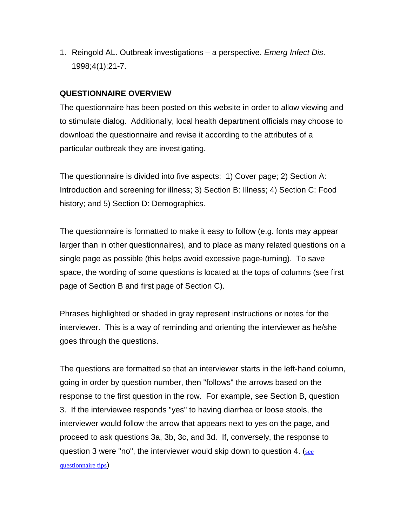1. Reingold AL. Outbreak investigations – a perspective. *Emerg Infect Dis*. 1998;4(1):21-7.

### **QUESTIONNAIRE OVERVIEW**

The questionnaire has been posted on this website in order to allow viewing and to stimulate dialog. Additionally, local health department officials may choose to download the questionnaire and revise it according to the attributes of a particular outbreak they are investigating.

The questionnaire is divided into five aspects: 1) Cover page; 2) Section A: Introduction and screening for illness; 3) Section B: Illness; 4) Section C: Food history; and 5) Section D: Demographics.

The questionnaire is formatted to make it easy to follow (e.g. fonts may appear larger than in other questionnaires), and to place as many related questions on a single page as possible (this helps avoid excessive page-turning). To save space, the wording of some questions is located at the tops of columns (see first page of Section B and first page of Section C).

Phrases highlighted or shaded in gray represent instructions or notes for the interviewer. This is a way of reminding and orienting the interviewer as he/she goes through the questions.

The questions are formatted so that an interviewer starts in the left-hand column, going in order by question number, then "follows" the arrows based on the response to the first question in the row. For example, see Section B, question 3. If the interviewee responds "yes" to having diarrhea or loose stools, the interviewer would follow the arrow that appears next to yes on the page, and proceed to ask questions 3a, 3b, 3c, and 3d. If, conversely, the response to question 3 were "no", the interviewer would skip down to question 4. (see questionnaire tips)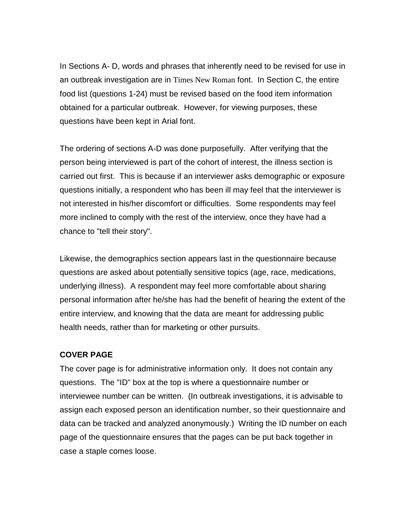In Sections A- D, words and phrases that inherently need to be revised for use in an outbreak investigation are in Times New Roman font. In Section C, the entire food list (questions 1-24) must be revised based on the food item information obtained for a particular outbreak. However, for viewing purposes, these questions have been kept in Arial font.

The ordering of sections A-D was done purposefully. After verifying that the person being interviewed is part of the cohort of interest, the illness section is carried out first. This is because if an interviewer asks demographic or exposure questions initially, a respondent who has been ill may feel that the interviewer is not interested in his/her discomfort or difficulties. Some respondents may feel more inclined to comply with the rest of the interview, once they have had a chance to "tell their story".

Likewise, the demographics section appears last in the questionnaire because questions are asked about potentially sensitive topics (age, race, medications, underlying illness). A respondent may feel more comfortable about sharing personal information after he/she has had the benefit of hearing the extent of the entire interview, and knowing that the data are meant for addressing public health needs, rather than for marketing or other pursuits.

#### **COVER PAGE**

The cover page is for administrative information only. It does not contain any questions. The "ID" box at the top is where a questionnaire number or interviewee number can be written. (In outbreak investigations, it is advisable to assign each exposed person an identification number, so their questionnaire and data can be tracked and analyzed anonymously.) Writing the ID number on each page of the questionnaire ensures that the pages can be put back together in case a staple comes loose.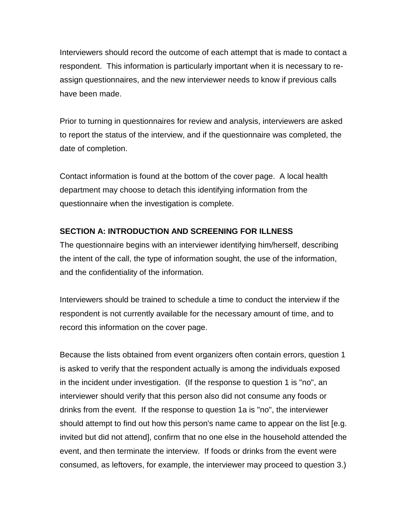Interviewers should record the outcome of each attempt that is made to contact a respondent. This information is particularly important when it is necessary to reassign questionnaires, and the new interviewer needs to know if previous calls have been made.

Prior to turning in questionnaires for review and analysis, interviewers are asked to report the status of the interview, and if the questionnaire was completed, the date of completion.

Contact information is found at the bottom of the cover page. A local health department may choose to detach this identifying information from the questionnaire when the investigation is complete.

## **SECTION A: INTRODUCTION AND SCREENING FOR ILLNESS**

The questionnaire begins with an interviewer identifying him/herself, describing the intent of the call, the type of information sought, the use of the information, and the confidentiality of the information.

Interviewers should be trained to schedule a time to conduct the interview if the respondent is not currently available for the necessary amount of time, and to record this information on the cover page.

Because the lists obtained from event organizers often contain errors, question 1 is asked to verify that the respondent actually is among the individuals exposed in the incident under investigation. (If the response to question 1 is "no", an interviewer should verify that this person also did not consume any foods or drinks from the event. If the response to question 1a is "no", the interviewer should attempt to find out how this person's name came to appear on the list [e.g. invited but did not attend], confirm that no one else in the household attended the event, and then terminate the interview. If foods or drinks from the event were consumed, as leftovers, for example, the interviewer may proceed to question 3.)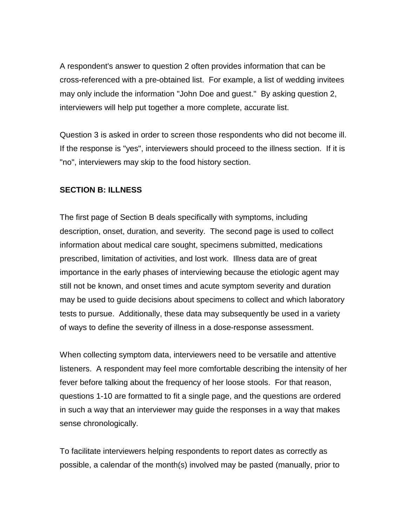A respondent's answer to question 2 often provides information that can be cross-referenced with a pre-obtained list. For example, a list of wedding invitees may only include the information "John Doe and guest." By asking question 2, interviewers will help put together a more complete, accurate list.

Question 3 is asked in order to screen those respondents who did not become ill. If the response is "yes", interviewers should proceed to the illness section. If it is "no", interviewers may skip to the food history section.

#### **SECTION B: ILLNESS**

The first page of Section B deals specifically with symptoms, including description, onset, duration, and severity. The second page is used to collect information about medical care sought, specimens submitted, medications prescribed, limitation of activities, and lost work. Illness data are of great importance in the early phases of interviewing because the etiologic agent may still not be known, and onset times and acute symptom severity and duration may be used to guide decisions about specimens to collect and which laboratory tests to pursue. Additionally, these data may subsequently be used in a variety of ways to define the severity of illness in a dose-response assessment.

When collecting symptom data, interviewers need to be versatile and attentive listeners. A respondent may feel more comfortable describing the intensity of her fever before talking about the frequency of her loose stools. For that reason, questions 1-10 are formatted to fit a single page, and the questions are ordered in such a way that an interviewer may guide the responses in a way that makes sense chronologically.

To facilitate interviewers helping respondents to report dates as correctly as possible, a calendar of the month(s) involved may be pasted (manually, prior to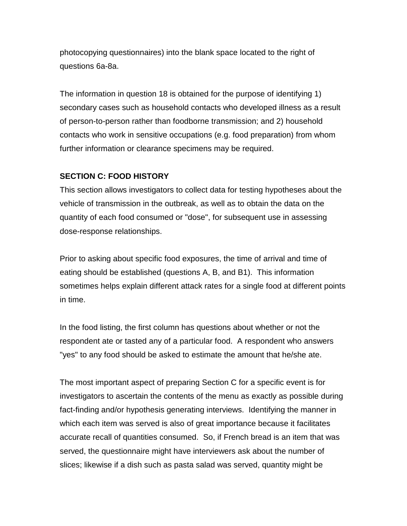photocopying questionnaires) into the blank space located to the right of questions 6a-8a.

The information in question 18 is obtained for the purpose of identifying 1) secondary cases such as household contacts who developed illness as a result of person-to-person rather than foodborne transmission; and 2) household contacts who work in sensitive occupations (e.g. food preparation) from whom further information or clearance specimens may be required.

## **SECTION C: FOOD HISTORY**

This section allows investigators to collect data for testing hypotheses about the vehicle of transmission in the outbreak, as well as to obtain the data on the quantity of each food consumed or "dose", for subsequent use in assessing dose-response relationships.

Prior to asking about specific food exposures, the time of arrival and time of eating should be established (questions A, B, and B1). This information sometimes helps explain different attack rates for a single food at different points in time.

In the food listing, the first column has questions about whether or not the respondent ate or tasted any of a particular food. A respondent who answers "yes" to any food should be asked to estimate the amount that he/she ate.

The most important aspect of preparing Section C for a specific event is for investigators to ascertain the contents of the menu as exactly as possible during fact-finding and/or hypothesis generating interviews. Identifying the manner in which each item was served is also of great importance because it facilitates accurate recall of quantities consumed. So, if French bread is an item that was served, the questionnaire might have interviewers ask about the number of slices; likewise if a dish such as pasta salad was served, quantity might be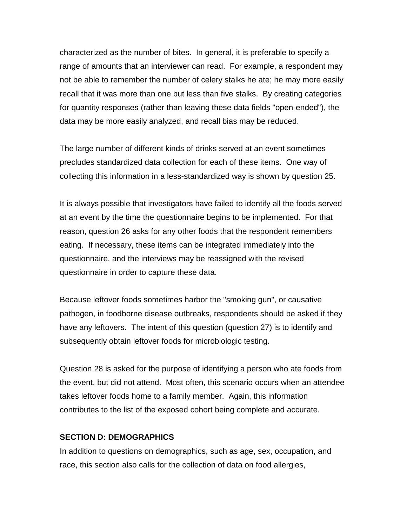characterized as the number of bites. In general, it is preferable to specify a range of amounts that an interviewer can read. For example, a respondent may not be able to remember the number of celery stalks he ate; he may more easily recall that it was more than one but less than five stalks. By creating categories for quantity responses (rather than leaving these data fields "open-ended"), the data may be more easily analyzed, and recall bias may be reduced.

The large number of different kinds of drinks served at an event sometimes precludes standardized data collection for each of these items. One way of collecting this information in a less-standardized way is shown by question 25.

It is always possible that investigators have failed to identify all the foods served at an event by the time the questionnaire begins to be implemented. For that reason, question 26 asks for any other foods that the respondent remembers eating. If necessary, these items can be integrated immediately into the questionnaire, and the interviews may be reassigned with the revised questionnaire in order to capture these data.

Because leftover foods sometimes harbor the "smoking gun", or causative pathogen, in foodborne disease outbreaks, respondents should be asked if they have any leftovers. The intent of this question (question 27) is to identify and subsequently obtain leftover foods for microbiologic testing.

Question 28 is asked for the purpose of identifying a person who ate foods from the event, but did not attend. Most often, this scenario occurs when an attendee takes leftover foods home to a family member. Again, this information contributes to the list of the exposed cohort being complete and accurate.

#### **SECTION D: DEMOGRAPHICS**

In addition to questions on demographics, such as age, sex, occupation, and race, this section also calls for the collection of data on food allergies,